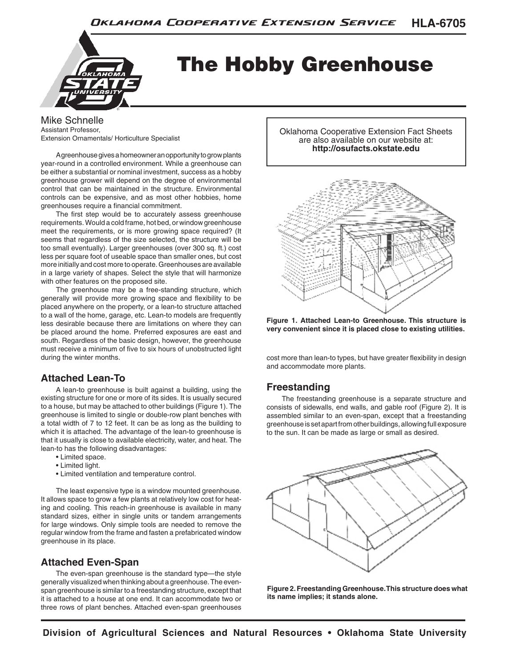

The Hobby Greenhouse

Mike Schnelle Assistant Professor, Extension Ornamentals/ Horticulture Specialist

A greenhouse gives a homeowner an opportunity to grow plants year-round in a controlled environment. While a greenhouse can be either a substantial or nominal investment, success as a hobby greenhouse grower will depend on the degree of environmental control that can be maintained in the structure. Environmental controls can be expensive, and as most other hobbies, home greenhouses require a financial commitment.

The first step would be to accurately assess greenhouse requirements. Would a cold frame, hot bed, or window greenhouse meet the requirements, or is more growing space required? (It seems that regardless of the size selected, the structure will be too small eventually). Larger greenhouses (over 300 sq. ft.) cost less per square foot of useable space than smaller ones, but cost more initially and cost more to operate. Greenhouses are available in a large variety of shapes. Select the style that will harmonize with other features on the proposed site.

The greenhouse may be a free-standing structure, which generally will provide more growing space and flexibility to be placed anywhere on the property, or a lean-to structure attached to a wall of the home, garage, etc. Lean-to models are frequently less desirable because there are limitations on where they can be placed around the home. Preferred exposures are east and south. Regardless of the basic design, however, the greenhouse must receive a minimum of five to six hours of unobstructed light during the winter months.

## **Attached Lean-To**

A lean-to greenhouse is built against a building, using the existing structure for one or more of its sides. It is usually secured to a house, but may be attached to other buildings (Figure 1). The greenhouse is limited to single or double-row plant benches with a total width of 7 to 12 feet. It can be as long as the building to which it is attached. The advantage of the lean-to greenhouse is that it usually is close to available electricity, water, and heat. The lean-to has the following disadvantages:

- Limited space.
- Limited light.
- Limited ventilation and temperature control.

The least expensive type is a window mounted greenhouse. It allows space to grow a few plants at relatively low cost for heating and cooling. This reach-in greenhouse is available in many standard sizes, either in single units or tandem arrangements for large windows. Only simple tools are needed to remove the regular window from the frame and fasten a prefabricated window greenhouse in its place.

## **Attached Even-Span**

The even-span greenhouse is the standard type—the style generally visualized when thinking about a greenhouse. The evenspan greenhouse is similar to a freestanding structure, except that it is attached to a house at one end. It can accommodate two or three rows of plant benches. Attached even-span greenhouses Oklahoma Cooperative Extension Fact Sheets are also available on our website at: **http://osufacts.okstate.edu**



**Figure 1. Attached Lean-to Greenhouse. This structure is very convenient since it is placed close to existing utilities.**

cost more than lean-to types, but have greater flexibility in design and accommodate more plants.

## **Freestanding**

The freestanding greenhouse is a separate structure and consists of sidewalls, end walls, and gable roof (Figure 2). It is assembled similar to an even-span, except that a freestanding greenhouse is set apart from other buildings, allowing full exposure to the sun. It can be made as large or small as desired.



**Figure 2. Freestanding Greenhouse. This structure does what its name implies; it stands alone.**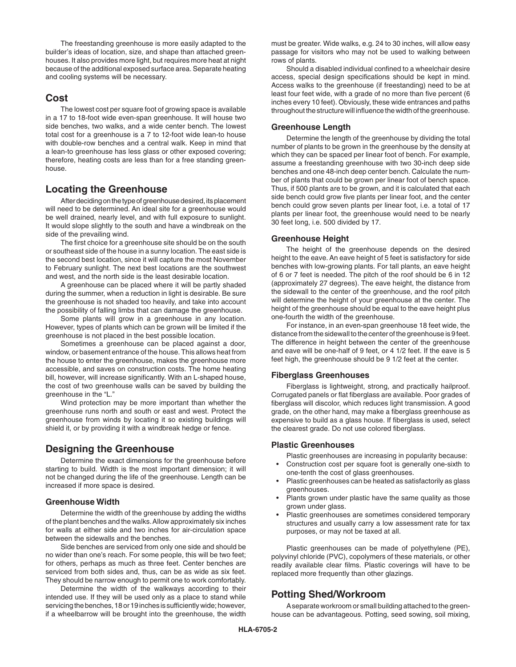The freestanding greenhouse is more easily adapted to the builder's ideas of location, size, and shape than attached greenhouses. It also provides more light, but requires more heat at night because of the additional exposed surface area. Separate heating and cooling systems will be necessary.

#### **Cost**

The lowest cost per square foot of growing space is available in a 17 to 18-foot wide even-span greenhouse. It will house two side benches, two walks, and a wide center bench. The lowest total cost for a greenhouse is a 7 to 12-foot wide lean-to house with double-row benches and a central walk. Keep in mind that a lean-to greenhouse has less glass or other exposed covering; therefore, heating costs are less than for a free standing greenhouse.

#### **Locating the Greenhouse**

After deciding on the type of greenhouse desired, its placement will need to be determined. An ideal site for a greenhouse would be well drained, nearly level, and with full exposure to sunlight. It would slope slightly to the south and have a windbreak on the side of the prevailing wind.

The first choice for a greenhouse site should be on the south or southeast side of the house in a sunny location. The east side is the second best location, since it will capture the most November to February sunlight. The next best locations are the southwest and west, and the north side is the least desirable location.

A greenhouse can be placed where it will be partly shaded during the summer, when a reduction in light is desirable. Be sure the greenhouse is not shaded too heavily, and take into account the possibility of falling limbs that can damage the greenhouse.

Some plants will grow in a greenhouse in any location. However, types of plants which can be grown will be limited if the greenhouse is not placed in the best possible location.

Sometimes a greenhouse can be placed against a door, window, or basement entrance of the house. This allows heat from the house to enter the greenhouse, makes the greenhouse more accessible, and saves on construction costs. The home heating bill, however, will increase significantly. With an L-shaped house, the cost of two greenhouse walls can be saved by building the greenhouse in the "L."

Wind protection may be more important than whether the greenhouse runs north and south or east and west. Protect the greenhouse from winds by locating it so existing buildings will shield it, or by providing it with a windbreak hedge or fence.

## **Designing the Greenhouse**

Determine the exact dimensions for the greenhouse before starting to build. Width is the most important dimension; it will not be changed during the life of the greenhouse. Length can be increased if more space is desired.

#### **Greenhouse Width**

Determine the width of the greenhouse by adding the widths of the plant benches and the walks. Allow approximately six inches for walls at either side and two inches for air-circulation space between the sidewalls and the benches.

Side benches are serviced from only one side and should be no wider than one's reach. For some people, this will be two feet; for others, perhaps as much as three feet. Center benches are serviced from both sides and, thus, can be as wide as six feet. They should be narrow enough to permit one to work comfortably.

Determine the width of the walkways according to their intended use. If they will be used only as a place to stand while servicing the benches, 18 or 19 inches is sufficiently wide; however, if a wheelbarrow will be brought into the greenhouse, the width

must be greater. Wide walks, e.g. 24 to 30 inches, will allow easy passage for visitors who may not be used to walking between rows of plants.

Should a disabled individual confined to a wheelchair desire access, special design specifications should be kept in mind. Access walks to the greenhouse (if freestanding) need to be at least four feet wide, with a grade of no more than five percent (6 inches every 10 feet). Obviously, these wide entrances and paths throughout the structure will influence the width of the greenhouse.

#### **Greenhouse Length**

Determine the length of the greenhouse by dividing the total number of plants to be grown in the greenhouse by the density at which they can be spaced per linear foot of bench. For example, assume a freestanding greenhouse with two 30-inch deep side benches and one 48-inch deep center bench. Calculate the number of plants that could be grown per linear foot of bench space. Thus, if 500 plants are to be grown, and it is calculated that each side bench could grow five plants per linear foot, and the center bench could grow seven plants per linear foot, i.e. a total of 17 plants per linear foot, the greenhouse would need to be nearly 30 feet long, i.e. 500 divided by 17.

#### **Greenhouse Height**

The height of the greenhouse depends on the desired height to the eave. An eave height of 5 feet is satisfactory for side benches with low-growing plants. For tall plants, an eave height of 6 or 7 feet is needed. The pitch of the roof should be 6 in 12 (approximately 27 degrees). The eave height, the distance from the sidewall to the center of the greenhouse, and the roof pitch will determine the height of your greenhouse at the center. The height of the greenhouse should be equal to the eave height plus one-fourth the width of the greenhouse.

For instance, in an even-span greenhouse 18 feet wide, the distance from the sidewall to the center of the greenhouse is 9 feet. The difference in height between the center of the greenhouse and eave will be one-half of 9 feet, or 4 1/2 feet. If the eave is 5 feet high, the greenhouse should be 9 1/2 feet at the center.

#### **Fiberglass Greenhouses**

Fiberglass is lightweight, strong, and practically hailproof. Corrugated panels or flat fiberglass are available. Poor grades of fiberglass will discolor, which reduces light transmission. A good grade, on the other hand, may make a fiberglass greenhouse as expensive to build as a glass house. If fiberglass is used, select the clearest grade. Do not use colored fiberglass.

#### **Plastic Greenhouses**

Plastic greenhouses are increasing in popularity because:

- Construction cost per square foot is generally one-sixth to one-tenth the cost of glass greenhouses.
- Plastic greenhouses can be heated as satisfactorily as glass greenhouses.
- Plants grown under plastic have the same quality as those grown under glass.
- Plastic greenhouses are sometimes considered temporary structures and usually carry a low assessment rate for tax purposes, or may not be taxed at all.

Plastic greenhouses can be made of polyethylene (PE), polyvinyl chloride (PVC), copolymers of these materials, or other readily available clear films. Plastic coverings will have to be replaced more frequently than other glazings.

#### **Potting Shed/Workroom**

A separate workroom or small building attached to the greenhouse can be advantageous. Potting, seed sowing, soil mixing,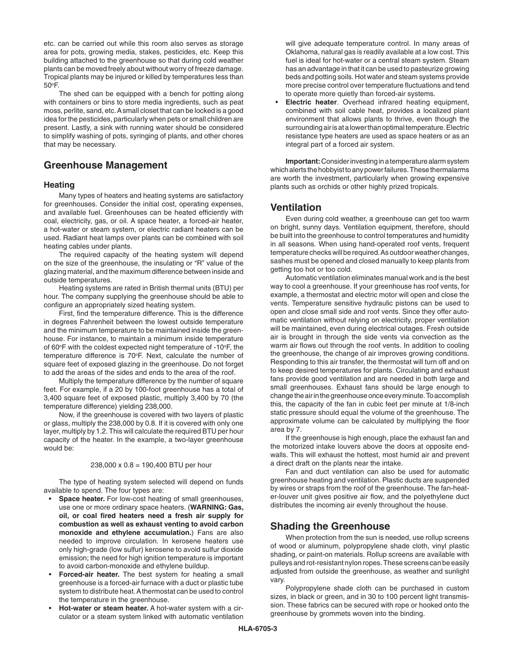etc. can be carried out while this room also serves as storage area for pots, growing media, stakes, pesticides, etc. Keep this building attached to the greenhouse so that during cold weather plants can be moved freely about without worry of freeze damage. Tropical plants may be injured or killed by temperatures less than 50°F.

The shed can be equipped with a bench for potting along with containers or bins to store media ingredients, such as peat moss, perlite, sand, etc. A small closet that can be locked is a good idea for the pesticides, particularly when pets or small children are present. Lastly, a sink with running water should be considered to simplify washing of pots, syringing of plants, and other chores that may be necessary.

### **Greenhouse Management**

#### **Heating**

Many types of heaters and heating systems are satisfactory for greenhouses. Consider the initial cost, operating expenses, and available fuel. Greenhouses can be heated efficiently with coal, electricity, gas, or oil. A space heater, a forced-air heater, a hot-water or steam system, or electric radiant heaters can be used. Radiant heat lamps over plants can be combined with soil heating cables under plants.

The required capacity of the heating system will depend on the size of the greenhouse, the insulating or "R" value of the glazing material, and the maximum difference between inside and outside temperatures.

Heating systems are rated in British thermal units (BTU) per hour. The company supplying the greenhouse should be able to configure an appropriately sized heating system.

First, find the temperature difference. This is the difference in degrees Fahrenheit between the lowest outside temperature and the minimum temperature to be maintained inside the greenhouse. For instance, to maintain a minimum inside temperature of 60°F with the coldest expected night temperature of -10°F, the temperature difference is 70°F. Next, calculate the number of square feet of exposed glazing in the greenhouse. Do not forget to add the areas of the sides and ends to the area of the roof.

Multiply the temperature difference by the number of square feet. For example, if a 20 by 100-foot greenhouse has a total of 3,400 square feet of exposed plastic, multiply 3,400 by 70 (the temperature difference) yielding 238,000.

Now, if the greenhouse is covered with two layers of plastic or glass, multiply the 238,000 by 0.8. If it is covered with only one layer, multiply by 1.2. This will calculate the required BTU per hour capacity of the heater. In the example, a two-layer greenhouse would be:

#### 238,000 x 0.8 = 190,400 BTU per hour

The type of heating system selected will depend on funds available to spend. The four types are:

- **Space heater.** For low-cost heating of small greenhouses, use one or more ordinary space heaters. (**WARNING: Gas, oil, or coal fired heaters need a fresh air supply for combustion as well as exhaust venting to avoid carbon monoxide and ethylene accumulation.**) Fans are also needed to improve circulation. In kerosene heaters use only high-grade (low sulfur) kerosene to avoid sulfur dioxide emission; the need for high ignition temperature is important to avoid carbon-monoxide and ethylene buildup.
- **Forced-air heater.** The best system for heating a small greenhouse is a forced-air furnace with a duct or plastic tube system to distribute heat. A thermostat can be used to control the temperature in the greenhouse.
- **Hot-water or steam heater.** A hot-water system with a circulator or a steam system linked with automatic ventilation

will give adequate temperature control. In many areas of Oklahoma, natural gas is readily available at a low cost. This fuel is ideal for hot-water or a central steam system. Steam has an advantage in that it can be used to pasteurize growing beds and potting soils. Hot water and steam systems provide more precise control over temperature fluctuations and tend to operate more quietly than forced-air systems.

• **Electric heater**. Overhead infrared heating equipment, combined with soil cable heat, provides a localized plant environment that allows plants to thrive, even though the surrounding air is at a lower than optimal temperature. Electric resistance type heaters are used as space heaters or as an integral part of a forced air system.

**Important:** Consider investing in a temperature alarm system which alerts the hobbyist to any power failures. These thermalarms are worth the investment, particularly when growing expensive plants such as orchids or other highly prized tropicals.

## **Ventilation**

Even during cold weather, a greenhouse can get too warm on bright, sunny days. Ventilation equipment, therefore, should be built into the greenhouse to control temperatures and humidity in all seasons. When using hand-operated roof vents, frequent temperature checks will be required. As outdoor weather changes, sashes must be opened and closed manually to keep plants from getting too hot or too cold.

Automatic ventilation eliminates manual work and is the best way to cool a greenhouse. If your greenhouse has roof vents, for example, a thermostat and electric motor will open and close the vents. Temperature sensitive hydraulic pistons can be used to open and close small side and roof vents. Since they offer automatic ventilation without relying on electricity, proper ventilation will be maintained, even during electrical outages. Fresh outside air is brought in through the side vents via convection as the warm air flows out through the roof vents. In addition to cooling the greenhouse, the change of air improves growing conditions. Responding to this air transfer, the thermostat will turn off and on to keep desired temperatures for plants. Circulating and exhaust fans provide good ventilation and are needed in both large and small greenhouses. Exhaust fans should be large enough to change the air in the greenhouse once every minute. To accomplish this, the capacity of the fan in cubic feet per minute at 1/8-inch static pressure should equal the volume of the greenhouse. The approximate volume can be calculated by multiplying the floor area by 7.

If the greenhouse is high enough, place the exhaust fan and the motorized intake louvers above the doors at opposite endwalls. This will exhaust the hottest, most humid air and prevent a direct draft on the plants near the intake.

Fan and duct ventilation can also be used for automatic greenhouse heating and ventilation. Plastic ducts are suspended by wires or straps from the roof of the greenhouse. The fan-heater-louver unit gives positive air flow, and the polyethylene duct distributes the incoming air evenly throughout the house.

## **Shading the Greenhouse**

When protection from the sun is needed, use rollup screens of wood or aluminum, polypropylene shade cloth, vinyl plastic shading, or paint-on materials. Rollup screens are available with pulleys and rot-resistant nylon ropes. These screens can be easily adjusted from outside the greenhouse, as weather and sunlight vary.

Polypropylene shade cloth can be purchased in custom sizes, in black or green, and in 30 to 100 percent light transmission. These fabrics can be secured with rope or hooked onto the greenhouse by grommets woven into the binding.